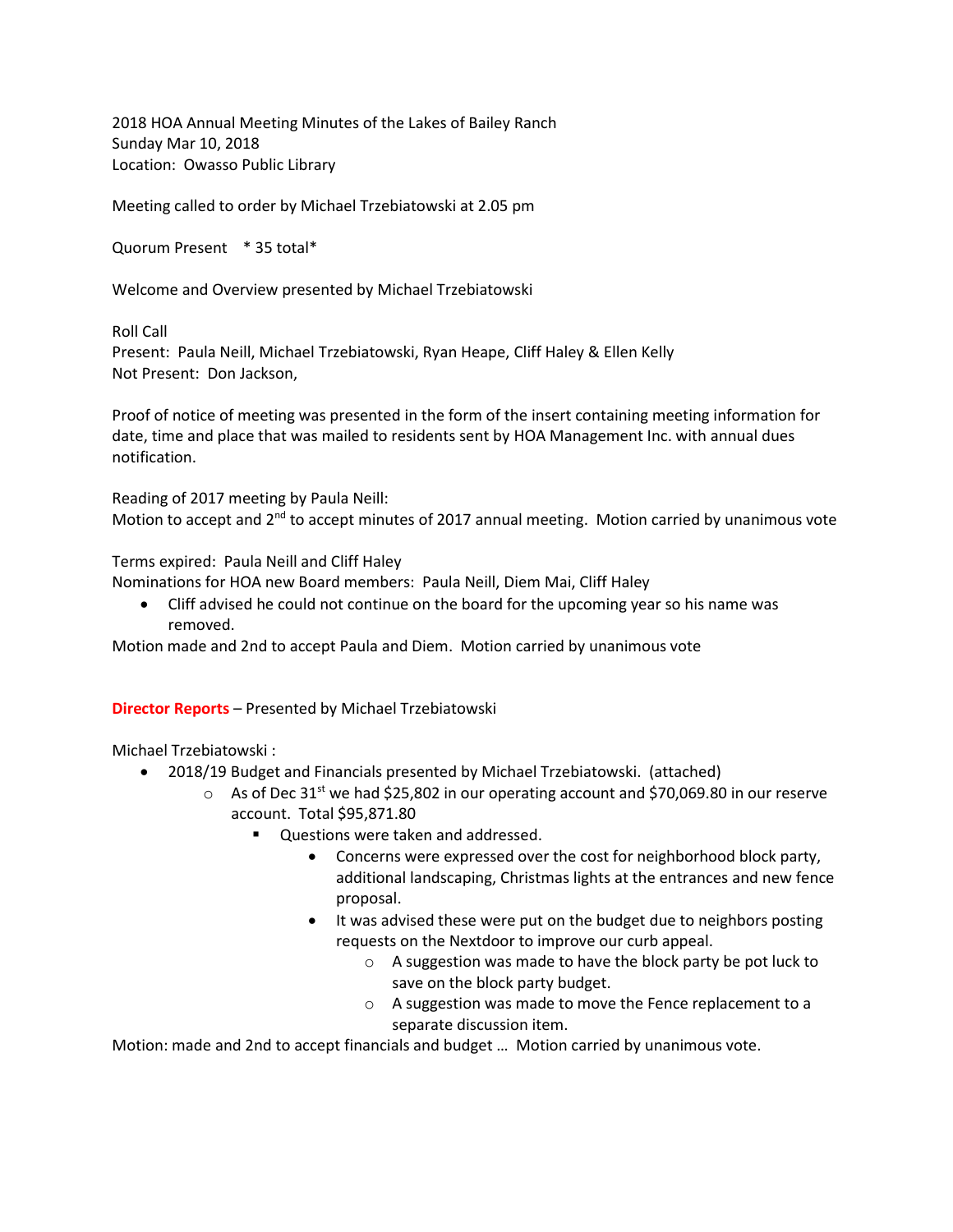2018 HOA Annual Meeting Minutes of the Lakes of Bailey Ranch Sunday Mar 10, 2018 Location: Owasso Public Library

Meeting called to order by Michael Trzebiatowski at 2.05 pm

Quorum Present \* 35 total\*

Welcome and Overview presented by Michael Trzebiatowski

Roll Call

Present: Paula Neill, Michael Trzebiatowski, Ryan Heape, Cliff Haley & Ellen Kelly Not Present: Don Jackson,

Proof of notice of meeting was presented in the form of the insert containing meeting information for date, time and place that was mailed to residents sent by HOA Management Inc. with annual dues notification.

Reading of 2017 meeting by Paula Neill:

Motion to accept and  $2<sup>nd</sup>$  to accept minutes of 2017 annual meeting. Motion carried by unanimous vote

Terms expired: Paula Neill and Cliff Haley

Nominations for HOA new Board members: Paula Neill, Diem Mai, Cliff Haley

• Cliff advised he could not continue on the board for the upcoming year so his name was removed.

Motion made and 2nd to accept Paula and Diem. Motion carried by unanimous vote

## **Director Reports** – Presented by Michael Trzebiatowski

Michael Trzebiatowski :

- 2018/19 Budget and Financials presented by Michael Trzebiatowski. (attached)
	- $\circ$  As of Dec 31<sup>st</sup> we had \$25,802 in our operating account and \$70,069.80 in our reserve account. Total \$95,871.80
		- Questions were taken and addressed.
			- Concerns were expressed over the cost for neighborhood block party, additional landscaping, Christmas lights at the entrances and new fence proposal.
			- It was advised these were put on the budget due to neighbors posting requests on the Nextdoor to improve our curb appeal.
				- o A suggestion was made to have the block party be pot luck to save on the block party budget.
				- o A suggestion was made to move the Fence replacement to a separate discussion item.

Motion: made and 2nd to accept financials and budget … Motion carried by unanimous vote.